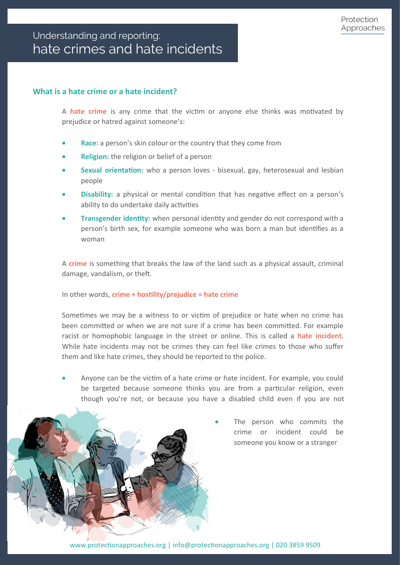# **What is a hate crime or a hate incident?**

A **hate crime** is any crime that the victim or anyone else thinks was motivated by prejudice or hatred against someone's:

- **Race:** a person's skin colour or the country that they come from
- **Religion:** the religion or belief of a person
- **Sexual orientation:** who a person loves bisexual, gay, heterosexual and lesbian people
- **Disability:** a physical or mental condition that has negative effect on a person's ability to do undertake daily activities
- **Transgender identity:** when personal identity and gender do not correspond with a person's birth sex, for example someone who was born a man but identifies as a woman

A **crime** is something that breaks the law of the land such as a physical assault, criminal damage, vandalism, or theft.

In other words, **crime + hostility/prejudice = hate crime**

Sometimes we may be a witness to or victim of prejudice or hate when no crime has been committed or when we are not sure if a crime has been committed. For example racist or homophobic language in the street or online. This is called a **hate incident.**  While hate incidents may not be crimes they can feel like crimes to those who suffer them and like hate crimes, they should be reported to the police.

• Anyone can be the victim of a hate crime or hate incident. For example, you could be targeted because someone thinks you are from a particular religion, even though you're not, or because you have a disabled child even if you are not



The person who commits the crime or incident could be someone you know or a stranger